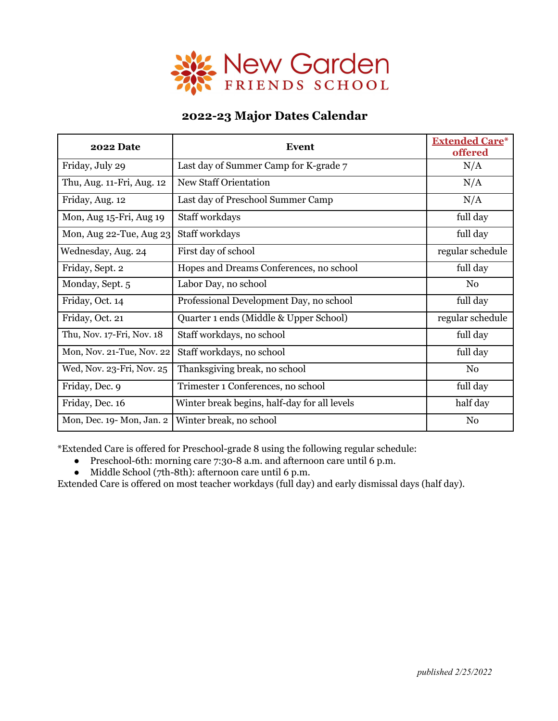

## **2022-23 Major Dates Calendar**

| <b>2022 Date</b>          | <b>Event</b>                                 | <b>Extended Care*</b><br>offered |
|---------------------------|----------------------------------------------|----------------------------------|
| Friday, July 29           | Last day of Summer Camp for K-grade 7        | N/A                              |
| Thu, Aug. 11-Fri, Aug. 12 | <b>New Staff Orientation</b>                 | N/A                              |
| Friday, Aug. 12           | Last day of Preschool Summer Camp            | N/A                              |
| Mon, Aug 15-Fri, Aug 19   | Staff workdays                               | full day                         |
| Mon, Aug 22-Tue, Aug 23   | Staff workdays                               | full day                         |
| Wednesday, Aug. 24        | First day of school                          | regular schedule                 |
| Friday, Sept. 2           | Hopes and Dreams Conferences, no school      | full day                         |
| Monday, Sept. 5           | Labor Day, no school                         | N <sub>0</sub>                   |
| Friday, Oct. 14           | Professional Development Day, no school      | full day                         |
| Friday, Oct. 21           | Quarter 1 ends (Middle & Upper School)       | regular schedule                 |
| Thu, Nov. 17-Fri, Nov. 18 | Staff workdays, no school                    | full day                         |
| Mon, Nov. 21-Tue, Nov. 22 | Staff workdays, no school                    | full day                         |
| Wed, Nov. 23-Fri, Nov. 25 | Thanksgiving break, no school                | N <sub>0</sub>                   |
| Friday, Dec. 9            | Trimester 1 Conferences, no school           | full day                         |
| Friday, Dec. 16           | Winter break begins, half-day for all levels | half day                         |
| Mon, Dec. 19-Mon, Jan. 2  | Winter break, no school                      | N <sub>0</sub>                   |

\*Extended Care is offered for Preschool-grade 8 using the following regular schedule:

- Preschool-6th: morning care 7:30-8 a.m. and afternoon care until 6 p.m.
- Middle School (7th-8th): afternoon care until 6 p.m.

Extended Care is offered on most teacher workdays (full day) and early dismissal days (half day).